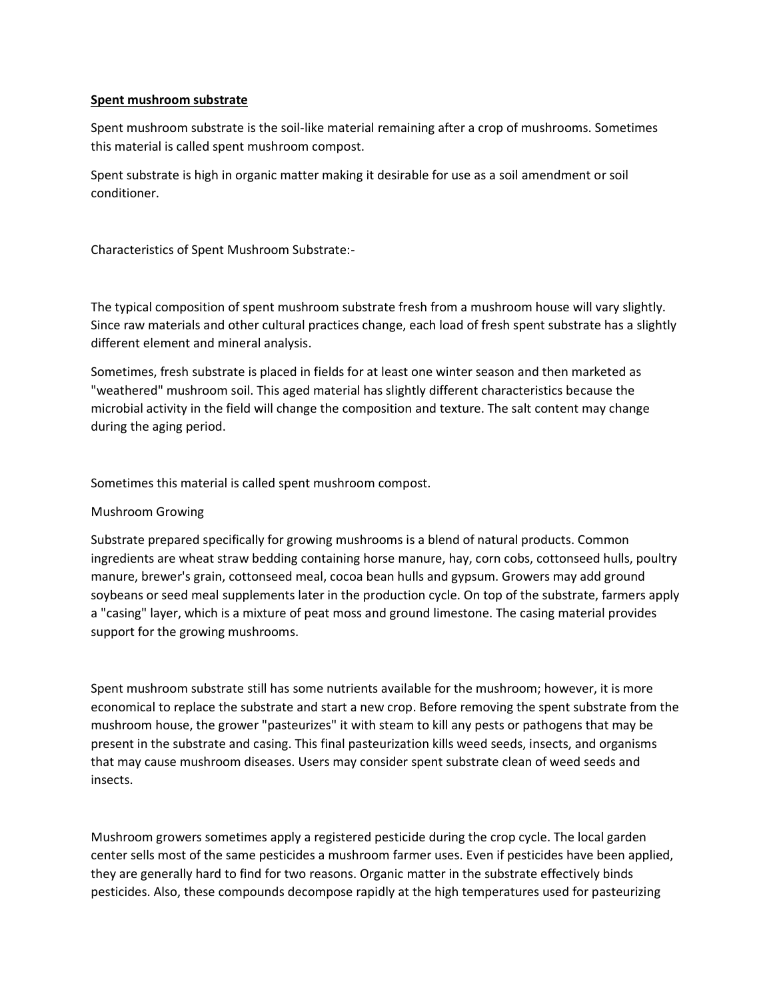## **Spent mushroom substrate**

Spent mushroom substrate is the soil-like material remaining after a crop of mushrooms. Sometimes this material is called spent mushroom compost.

Spent substrate is high in organic matter making it desirable for use as a soil amendment or soil conditioner.

Characteristics of Spent Mushroom Substrate:-

The typical composition of spent mushroom substrate fresh from a mushroom house will vary slightly. Since raw materials and other cultural practices change, each load of fresh spent substrate has a slightly different element and mineral analysis.

Sometimes, fresh substrate is placed in fields for at least one winter season and then marketed as "weathered" mushroom soil. This aged material has slightly different characteristics because the microbial activity in the field will change the composition and texture. The salt content may change during the aging period.

Sometimes this material is called spent mushroom compost.

## Mushroom Growing

Substrate prepared specifically for growing mushrooms is a blend of natural products. Common ingredients are wheat straw bedding containing horse manure, hay, corn cobs, cottonseed hulls, poultry manure, brewer's grain, cottonseed meal, cocoa bean hulls and gypsum. Growers may add ground soybeans or seed meal supplements later in the production cycle. On top of the substrate, farmers apply a "casing" layer, which is a mixture of peat moss and ground limestone. The casing material provides support for the growing mushrooms.

Spent mushroom substrate still has some nutrients available for the mushroom; however, it is more economical to replace the substrate and start a new crop. Before removing the spent substrate from the mushroom house, the grower "pasteurizes" it with steam to kill any pests or pathogens that may be present in the substrate and casing. This final pasteurization kills weed seeds, insects, and organisms that may cause mushroom diseases. Users may consider spent substrate clean of weed seeds and insects.

Mushroom growers sometimes apply a registered pesticide during the crop cycle. The local garden center sells most of the same pesticides a mushroom farmer uses. Even if pesticides have been applied, they are generally hard to find for two reasons. Organic matter in the substrate effectively binds pesticides. Also, these compounds decompose rapidly at the high temperatures used for pasteurizing